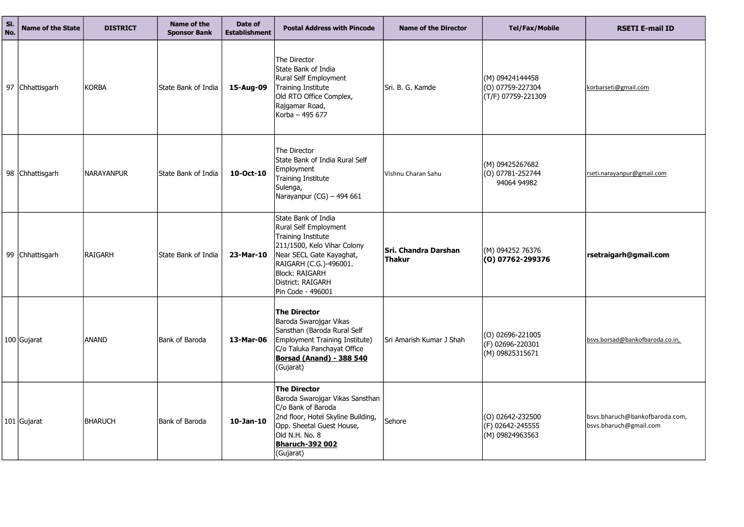| SI.<br>No. | <b>Name of the State</b> | <b>DISTRICT</b>   | <b>Name of the</b><br><b>Sponsor Bank</b> | Date of<br><b>Establishment</b> | <b>Postal Address with Pincode</b>                                                                                                                                                                                         | <b>Name of the Director</b>    | <b>Tel/Fax/Mobile</b>                                           | <b>RSETI E-mail ID</b>                                |
|------------|--------------------------|-------------------|-------------------------------------------|---------------------------------|----------------------------------------------------------------------------------------------------------------------------------------------------------------------------------------------------------------------------|--------------------------------|-----------------------------------------------------------------|-------------------------------------------------------|
|            | 97 Chhattisgarh          | KORBA             | State Bank of India                       | 15-Aug-09                       | The Director<br>State Bank of India<br>Rural Self Employment<br>Training Institute<br>Old RTO Office Complex,<br>Rajgamar Road,<br>Korba - 495 677                                                                         | Sri. B. G. Kamde               | (M) 09424144458<br>$(0)$ 07759-227304<br>(T/F) 07759-221309     | korbarseti@gmail.com                                  |
|            | 98 Chhattisgarh          | <b>NARAYANPUR</b> | lState Bank of India                      | 10-Oct-10                       | The Director<br>State Bank of India Rural Self<br><b>Employment</b><br><b>Training Institute</b><br>Sulenga,<br>Narayanpur (CG) - 494 661                                                                                  | Vishnu Charan Sahu             | (M) 09425267682<br>$(0)$ 07781-252744<br>94064 94982            | rseti.narayanpur@gmail.com                            |
|            | 99 Chhattisgarh          | <b>RAIGARH</b>    | State Bank of India                       | 23-Mar-10                       | State Bank of India<br>Rural Self Employment<br>Training Institute<br>211/1500, Kelo Vihar Colony<br>Near SECL Gate Kayaghat,<br>RAIGARH (C.G.)-496001.<br><b>Block: RAIGARH</b><br>District: RAIGARH<br>Pin Code - 496001 | Sri. Chandra Darshan<br>Thakur | (M) 094252 76376<br>(0) 07762-299376                            | rsetraigarh@gmail.com                                 |
|            | 100 Gujarat              | <b>ANAND</b>      | Bank of Baroda                            | 13-Mar-06                       | <b>The Director</b><br>Baroda Swarojgar Vikas<br>Sansthan (Baroda Rural Self<br>Employment Training Institute)<br>C/o Taluka Panchayat Office<br><b>Borsad (Anand) - 388 540</b><br>(Gujarat)                              | Sri Amarish Kumar J Shah       | $\vert$ (O) 02696-221005<br>(F) 02696-220301<br>(M) 09825315671 | bsvs.borsad@bankofbaroda.co.i                         |
|            | 101 Gujarat              | BHARUCH           | Bank of Baroda                            | $10$ -Jan- $10$                 | <b>The Director</b><br>Baroda Swarojgar Vikas Sansthan<br>C/o Bank of Baroda<br>2nd floor, Hotel Skyline Building,<br>Opp. Sheetal Guest House,<br>Old N.H. No. 8<br><b>Bharuch-392 002</b><br>(Gujarat)                   | Sehore                         | $(0)$ 02642-232500<br>(F) 02642-245555<br>(M) 09824963563       | bsvs.bharuch@bankofbaroda.c<br>bsvs.bharuch@gmail.com |

| <b>Tel/Fax/Mobile</b>                                     | <b>RSETI E-mail ID</b>                                   |
|-----------------------------------------------------------|----------------------------------------------------------|
| (M) 09424144458<br>(O) 07759-227304<br>(T/F) 07759-221309 | korbarseti@gmail.com                                     |
| (M) 09425267682<br>(0) 07781-252744<br>94064 94982        | rseti.narayanpur@gmail.com                               |
| (M) 094252 76376<br>(0) 07762-299376                      | rsetraigarh@gmail.com                                    |
| (O) 02696-221005<br>(F) 02696-220301<br>(M) 09825315671   | bsvs.borsad@bankofbaroda.co.in,                          |
| (O) 02642-232500<br>(F) 02642-245555<br>(M) 09824963563   | bsvs.bharuch@bankofbaroda.com,<br>bsvs.bharuch@gmail.com |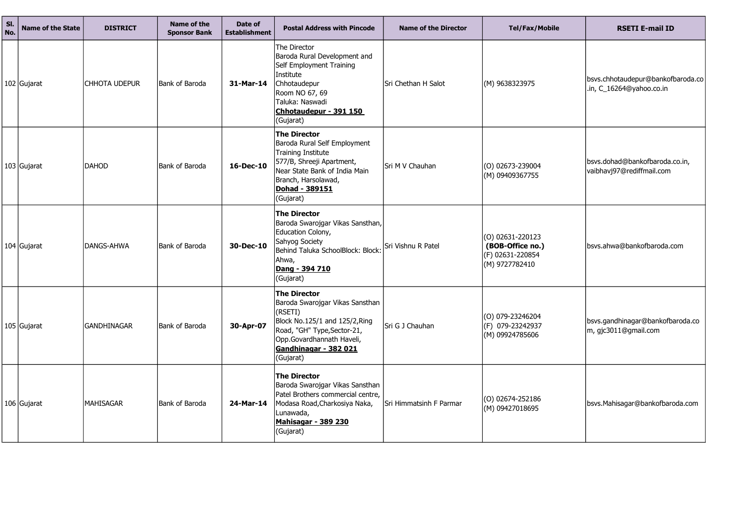| SI.<br>No. | <b>Name of the State</b> | <b>DISTRICT</b>      | <b>Name of the</b><br><b>Sponsor Bank</b> | Date of<br><b>Establishment</b> | <b>Postal Address with Pincode</b>                                                                                                                                                                    | <b>Name of the Director</b> | <b>Tel/Fax/Mobile</b>                                                        | <b>RSETI E-mail ID</b>                                        |
|------------|--------------------------|----------------------|-------------------------------------------|---------------------------------|-------------------------------------------------------------------------------------------------------------------------------------------------------------------------------------------------------|-----------------------------|------------------------------------------------------------------------------|---------------------------------------------------------------|
|            | 102 Gujarat              | <b>CHHOTA UDEPUR</b> | Bank of Baroda                            | 31-Mar-14                       | The Director<br>Baroda Rural Development and<br>Self Employment Training<br>Institute<br>Chhotaudepur<br>Room NO 67, 69<br>Taluka: Naswadi<br>Chhotaudepur - 391 150<br>(Gujarat)                     | Sri Chethan H Salot         | (M) 9638323975                                                               | bsvs.chhotaudepur@bankofbaroda.co<br>.in, C_16264@yahoo.co.in |
|            | 103 Gujarat              | <b>DAHOD</b>         | Bank of Baroda                            | 16-Dec-10                       | <b>The Director</b><br>Baroda Rural Self Employment<br><b>Training Institute</b><br>577/B, Shreeji Apartment,<br>Near State Bank of India Main<br>Branch, Harsolawad,<br>Dohad - 389151<br>(Gujarat)  | Sri M V Chauhan             | (O) 02673-239004<br>(M) 09409367755                                          | bsvs.dohad@bankofbaroda.co.in,<br>vaibhavj97@rediffmail.com   |
|            | 104 Gujarat              | <b>DANGS-AHWA</b>    | Bank of Baroda                            | 30-Dec-10                       | <b>The Director</b><br>Baroda Swarojgar Vikas Sansthan,<br>Education Colony,<br>Sahyog Society<br>Behind Taluka SchoolBlock: Block:<br>Ahwa,<br>Dang - 394 710<br>(Gujarat)                           | Sri Vishnu R Patel          | $(0)$ 02631-220123<br>(BOB-Office no.)<br>(F) 02631-220854<br>(M) 9727782410 | bsvs.ahwa@bankofbaroda.com                                    |
|            | 105 Gujarat              | <b>GANDHINAGAR</b>   | Bank of Baroda                            | 30-Apr-07                       | <b>The Director</b><br>Baroda Swarojgar Vikas Sansthan<br>(RSETI)<br>Block No.125/1 and 125/2, Ring<br>Road, "GH" Type, Sector-21,<br>Opp.Govardhannath Haveli,<br>Gandhinagar - 382 021<br>(Gujarat) | Sri G J Chauhan             | $(0)$ 079-23246204<br>(F) 079-23242937<br>(M) 09924785606                    | bsvs.gandhinagar@bankofbaroda.co<br>m, gjc3011@gmail.com      |
|            | 106 Gujarat              | <b>MAHISAGAR</b>     | Bank of Baroda                            | 24-Mar-14                       | <b>The Director</b><br>Baroda Swarojgar Vikas Sansthan<br>Patel Brothers commercial centre,<br>Modasa Road, Charkosiya Naka,<br>Lunawada,<br><u> Mahisagar - 389 230</u><br>(Gujarat)                 | Sri Himmatsinh F Parmar     | $(0)$ 02674-252186<br>(M) 09427018695                                        | bsvs.Mahisagar@bankofbaroda.com                               |

| Tel/Fax/Mobile                                                             | <b>RSETI E-mail ID</b>                                        |
|----------------------------------------------------------------------------|---------------------------------------------------------------|
| (M) 9638323975                                                             | bsvs.chhotaudepur@bankofbaroda.co<br>.in, C_16264@yahoo.co.in |
| (O) 02673-239004<br>(M) 09409367755                                        | bsvs.dohad@bankofbaroda.co.in,<br>vaibhavj97@rediffmail.com   |
| (O) 02631-220123<br>(BOB-Office no.)<br>(F) 02631-220854<br>(M) 9727782410 | bsvs.ahwa@bankofbaroda.com                                    |
| (O) 079-23246204<br>(F) 079-23242937<br>(M) 09924785606                    | bsvs.gandhinagar@bankofbaroda.co<br>m, gjc3011@gmail.com      |
| (O) 02674-252186<br>(M) 09427018695                                        | bsvs.Mahisagar@bankofbaroda.com                               |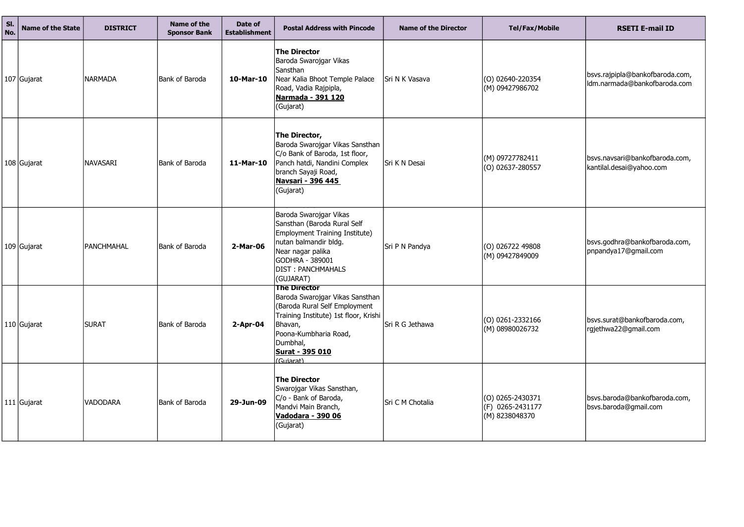| SI.<br>No. | <b>Name of the State</b> | <b>DISTRICT</b> | Name of the<br><b>Sponsor Bank</b> | Date of<br><b>Establishment</b> | <b>Postal Address with Pincode</b>                                                                                                                                                                                      | <b>Name of the Director</b> | <b>Tel/Fax/Mobile</b>                                      | <b>RSETI E-mail ID</b>                                 |
|------------|--------------------------|-----------------|------------------------------------|---------------------------------|-------------------------------------------------------------------------------------------------------------------------------------------------------------------------------------------------------------------------|-----------------------------|------------------------------------------------------------|--------------------------------------------------------|
|            | 107 Gujarat              | <b>NARMADA</b>  | <b>Bank of Baroda</b>              | 10-Mar-10                       | <b>The Director</b><br>Baroda Swarojgar Vikas<br>Sansthan<br>Near Kalia Bhoot Temple Palace<br>Road, Vadia Rajpipla,<br><u>Narmada - 391 120</u><br>(Gujarat)                                                           | Sri N K Vasava              | $(0)$ 02640-220354<br>(M) 09427986702                      | bsvs.rajpipla@bankofbaroda<br>Idm.narmada@bankofbaroda |
|            | 108 Gujarat              | NAVASARI        | Bank of Baroda                     | 11-Mar-10                       | The Director,<br>Baroda Swarojgar Vikas Sansthan<br>C/o Bank of Baroda, 1st floor,<br>Panch hatdi, Nandini Complex<br>branch Sayaji Road,<br><b>Navsari - 396 445</b><br>(Gujarat)                                      | Sri K N Desai               | (M) 09727782411<br>$(0)$ 02637-280557                      | bsvs.navsari@bankofbaroda.<br>kantilal.desai@yahoo.com |
|            | $109$ Gujarat            | PANCHMAHAL      | Bank of Baroda                     | 2-Mar-06                        | Baroda Swarojgar Vikas<br>Sansthan (Baroda Rural Self<br>Employment Training Institute)<br>nutan balmandir bldg.<br>Near nagar palika<br>GODHRA - 389001<br><b>DIST: PANCHMAHALS</b><br>(GUJARAT)                       | Sri P N Pandya              | $(0)$ 026722 49808<br>(M) 09427849009                      | bsvs.godhra@bankofbaroda.<br>pnpandya17@gmail.com      |
|            | 110 Gujarat              | <b>SURAT</b>    | Bank of Baroda                     | $2$ -Apr-04                     | <b>The Director</b><br>Baroda Swarojgar Vikas Sansthan<br>(Baroda Rural Self Employment<br>Training Institute) 1st floor, Krishi<br>Bhavan,<br>Poona-Kumbharia Road,<br>Dumbhal,<br><b>Surat - 395 010</b><br>(Guiarat) | Sri R G Jethawa             | $(0)$ 0261-2332166<br>$(M)$ 08980026732                    | bsvs.surat@bankofbaroda.co<br>rgjethwa22@gmail.com     |
|            | 111 Gujarat              | VADODARA        | <b>Bank of Baroda</b>              | 29-Jun-09                       | <b>The Director</b><br>Swarojgar Vikas Sansthan,<br>C/o - Bank of Baroda,<br>Mandvi Main Branch,<br><u>Vadodara - 390 06</u><br>(Gujarat)                                                                               | Sri C M Chotalia            | $(0)$ 0265-2430371<br>$(F)$ 0265-2431177<br>(M) 8238048370 | bsvs.baroda@bankofbaroda.<br>bsvs.baroda@gmail.com     |

| <b>Tel/Fax/Mobile</b>                      | <b>RSETI E-mail ID</b>                                 |
|--------------------------------------------|--------------------------------------------------------|
| 02640-220354                               | bsvs.rajpipla@bankofbaroda.com,                        |
| 09427986702                                | Idm.narmada@bankofbaroda.com                           |
| 09727782411                                | bsvs.navsari@bankofbaroda.com,                         |
| 02637-280557                               | kantilal.desai@yahoo.com                               |
| 026722 49808                               | bsvs.godhra@bankofbaroda.com,                          |
| 09427849009                                | pnpandya17@gmail.com                                   |
| 0261-2332166                               | bsvs.surat@bankofbaroda.com,                           |
| 08980026732                                | rgjethwa22@gmail.com                                   |
| 0265-2430371<br>0265-2431177<br>8238048370 | bsvs.baroda@bankofbaroda.com,<br>bsvs.baroda@gmail.com |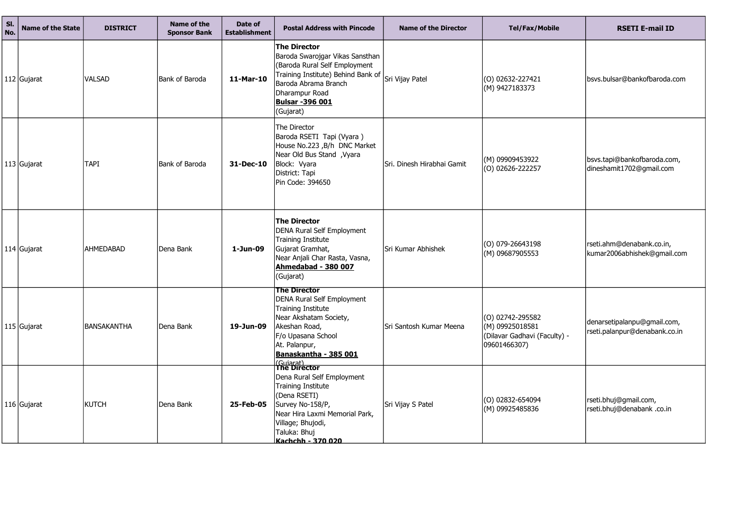| SI.<br>No. | <b>Name of the State</b> | <b>DISTRICT</b>  | Name of the<br><b>Sponsor Bank</b> | Date of<br><b>Establishment</b> | <b>Postal Address with Pincode</b>                                                                                                                                                                                          | <b>Name of the Director</b> | <b>Tel/Fax/Mobile</b>                                                                     | <b>RSETI E-mail ID</b>                                   |
|------------|--------------------------|------------------|------------------------------------|---------------------------------|-----------------------------------------------------------------------------------------------------------------------------------------------------------------------------------------------------------------------------|-----------------------------|-------------------------------------------------------------------------------------------|----------------------------------------------------------|
|            | 112 Gujarat              | <b>VALSAD</b>    | <b>Bank of Baroda</b>              | 11-Mar-10                       | <b>The Director</b><br>Baroda Swarojgar Vikas Sansthan<br>(Baroda Rural Self Employment<br>Training Institute) Behind Bank of<br>Baroda Abrama Branch<br>Dharampur Road<br><b>Bulsar-396 001</b><br>(Gujarat)               | Sri Vijay Patel             | $(0)$ 02632-227421<br>$(M)$ 9427183373                                                    | bsvs.bulsar@bankofbaroda.c                               |
|            | 113 Gujarat              | <b>TAPI</b>      | Bank of Baroda                     | 31-Dec-10                       | The Director<br>Baroda RSETI Tapi (Vyara)<br>House No.223, B/h DNC Market<br>Near Old Bus Stand, Vyara<br>Block: Vyara<br>District: Tapi<br>Pin Code: 394650                                                                | Sri. Dinesh Hirabhai Gamit  | (M) 09909453922<br>$(0)$ 02626-222257                                                     | bsvs.tapi@bankofbaroda.con<br>dineshamit1702@gmail.com   |
|            | 114 Gujarat              | <b>AHMEDABAD</b> | Dena Bank                          | 1-Jun-09                        | <b>The Director</b><br><b>DENA Rural Self Employment</b><br>Training Institute<br>Gujarat Gramhat,<br>Near Anjali Char Rasta, Vasna,<br>Ahmedabad - 380 007<br>(Gujarat)                                                    | Sri Kumar Abhishek          | $(0)$ 079-26643198<br>(M) 09687905553                                                     | rseti.ahm@denabank.co.in,<br>kumar2006abhishek@gmail.o   |
|            | 115 Gujarat              | IBANSAKANTHA     | Dena Bank                          | 19-Jun-09                       | <b>The Director</b><br>DENA Rural Self Employment<br><b>Training Institute</b><br>Near Akshatam Society,<br>Akeshan Road,<br>F/o Upasana School<br>At. Palanpur,<br>Banaskantha - 385 001                                   | Sri Santosh Kumar Meena     | $(O) 02742 - 295582$<br>$(M)$ 09925018581<br>(Dilavar Gadhavi (Faculty) -<br>09601466307) | denarsetipalanpu@gmail.con<br>rseti.palanpur@denabank.co |
|            | 116 Gujarat              | <b>KUTCH</b>     | Dena Bank                          | 25-Feb-05                       | <i>(Gujarat)</i><br>The Director<br>Dena Rural Self Employment<br><b>Training Institute</b><br>(Dena RSETI)<br>Survey No-158/P,<br>Near Hira Laxmi Memorial Park,<br>Village; Bhujodi,<br>Taluka: Bhuj<br>Kachchh - 370 020 | Sri Vijay S Patel           | $(0)$ 02832-654094<br>(M) 09925485836                                                     | rseti.bhuj@gmail.com,<br>rseti.bhuj@denabank.co.in       |

| <b>RSETI E-mail ID</b>                                       |
|--------------------------------------------------------------|
| bsvs.bulsar@bankofbaroda.com                                 |
| bsvs.tapi@bankofbaroda.com,<br>dineshamit1702@gmail.com      |
| rseti.ahm@denabank.co.in,<br>kumar2006abhishek@gmail.com     |
| denarsetipalanpu@gmail.com,<br>rseti.palanpur@denabank.co.in |
| rseti.bhuj@gmail.com,<br>rseti.bhuj@denabank .co.in          |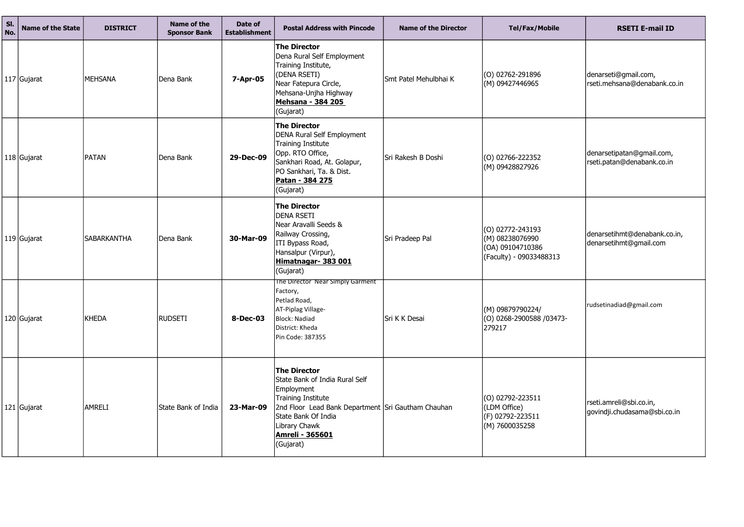| SI.<br>No. | <b>Name of the State</b> | <b>DISTRICT</b>    | <b>Name of the</b><br><b>Sponsor Bank</b> | Date of<br><b>Establishment</b> | <b>Postal Address with Pincode</b>                                                                                                                                                                                                    | <b>Name of the Director</b> | <b>Tel/Fax/Mobile</b>                                                              | <b>RSETI E-mail ID</b>                                  |
|------------|--------------------------|--------------------|-------------------------------------------|---------------------------------|---------------------------------------------------------------------------------------------------------------------------------------------------------------------------------------------------------------------------------------|-----------------------------|------------------------------------------------------------------------------------|---------------------------------------------------------|
|            | 117 Gujarat              | <b>MEHSANA</b>     | Dena Bank                                 | 7-Apr-05                        | <b>The Director</b><br>Dena Rural Self Employment<br>Training Institute,<br>(DENA RSETI)<br>Near Fatepura Circle,<br>Mehsana-Unjha Highway<br>Mehsana - 384 205<br>(Gujarat)                                                          | Smt Patel Mehulbhai K       | $\vert$ (O) 02762-291896<br>(M) 09427446965                                        | denarseti@gmail.com,<br>rseti.mehsana@denabank.co       |
|            | $118$ Gujarat            | <b>PATAN</b>       | Dena Bank                                 | 29-Dec-09                       | <b>The Director</b><br><b>DENA Rural Self Employment</b><br><b>Training Institute</b><br>Opp. RTO Office,<br>Sankhari Road, At. Golapur,<br>PO Sankhari, Ta. & Dist.<br>Patan - 384 275<br>(Gujarat)                                  | Sri Rakesh B Doshi          | $(0)$ 02766-222352<br>(M) 09428827926                                              | denarsetipatan@gmail.com,<br>rseti.patan@denabank.co.in |
|            | 119 Gujarat              | <b>SABARKANTHA</b> | Dena Bank                                 | 30-Mar-09                       | <b>The Director</b><br><b>DENA RSETI</b><br>Near Aravalli Seeds &<br>Railway Crossing,<br>ITI Bypass Road,<br>Hansalpur (Virpur),<br>Himatnagar- 383 001<br>(Gujarat)                                                                 | Sri Pradeep Pal             | (0) 02772-243193<br>(M) 08238076990<br>(OA) 09104710386<br>(Faculty) - 09033488313 | denarsetihmt@denabank.co.<br>denarsetihmt@gmail.com     |
|            | 120 Gujarat              | KHEDA              | <b>RUDSETI</b>                            | 8-Dec-03                        | The Director Near Simply Garment<br>Factory,<br>Petlad Road,<br>AT-Piplag Village-<br><b>Block: Nadiad</b><br>District: Kheda<br>Pin Code: 387355                                                                                     | Sri K K Desai               | (M) 09879790224/<br>(O) 0268-2900588 /03473-<br>279217                             | rudsetinadiad@gmail.com                                 |
|            | 121 Gujarat              | <b>AMRELI</b>      | State Bank of India                       | 23-Mar-09                       | <b>The Director</b><br>State Bank of India Rural Self<br>Employment<br><b>Training Institute</b><br>2nd Floor Lead Bank Department Sri Gautham Chauhan<br>State Bank Of India<br>Library Chawk<br><b>Amreli - 365601</b><br>(Gujarat) |                             | (O) 02792-223511<br>(LDM Office)<br>(F) 02792-223511<br>(M) 7600035258             | rseti.amreli@sbi.co.in,<br>govindji.chudasama@sbi.co.i  |

| <b>RSETI E-mail ID</b>                                  |
|---------------------------------------------------------|
| denarseti@gmail.com,<br>rseti.mehsana@denabank.co.in    |
| denarsetipatan@gmail.com,<br>rseti.patan@denabank.co.in |
| denarsetihmt@denabank.co.in,<br>denarsetihmt@gmail.com  |
| rudsetinadiad@gmail.com                                 |
| rseti.amreli@sbi.co.in,<br>govindji.chudasama@sbi.co.in |